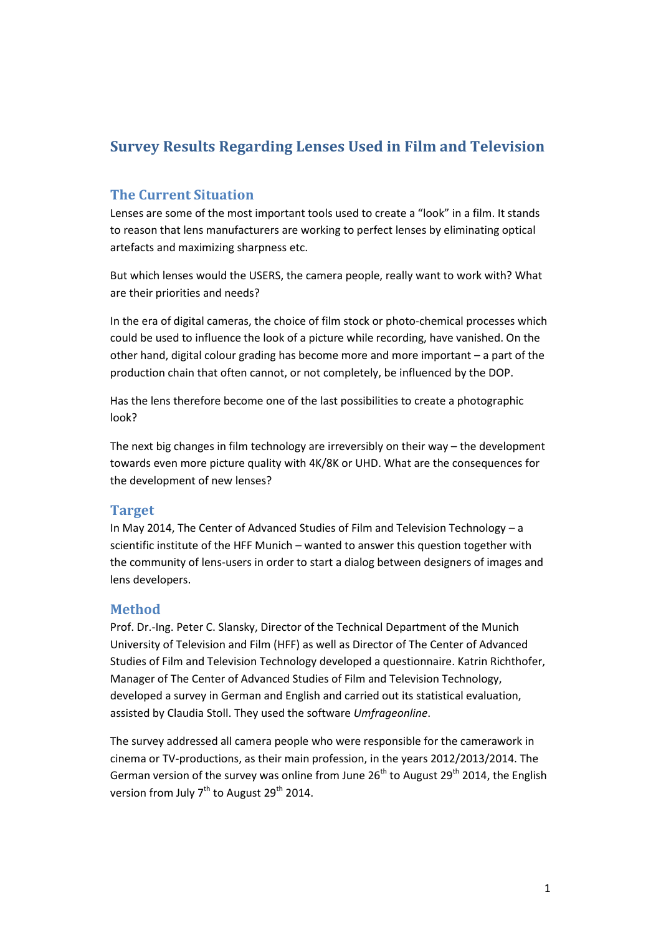# **Survey Results Regarding Lenses Used in Film and Television**

## **The Current Situation**

Lenses are some of the most important tools used to create a "look" in a film. It stands to reason that lens manufacturers are working to perfect lenses by eliminating optical artefacts and maximizing sharpness etc.

But which lenses would the USERS, the camera people, really want to work with? What are their priorities and needs?

In the era of digital cameras, the choice of film stock or photo-chemical processes which could be used to influence the look of a picture while recording, have vanished. On the other hand, digital colour grading has become more and more important – a part of the production chain that often cannot, or not completely, be influenced by the DOP.

Has the lens therefore become one of the last possibilities to create a photographic look?

The next big changes in film technology are irreversibly on their way – the development towards even more picture quality with 4K/8K or UHD. What are the consequences for the development of new lenses?

### **Target**

In May 2014, The Center of Advanced Studies of Film and Television Technology – a scientific institute of the HFF Munich – wanted to answer this question together with the community of lens-users in order to start a dialog between designers of images and lens developers.

# **Method**

Prof. Dr.-Ing. Peter C. Slansky, Director of the Technical Department of the Munich University of Television and Film (HFF) as well as Director of The Center of Advanced Studies of Film and Television Technology developed a questionnaire. Katrin Richthofer, Manager of The Center of Advanced Studies of Film and Television Technology, developed a survey in German and English and carried out its statistical evaluation, assisted by Claudia Stoll. They used the software *Umfrageonline*.

The survey addressed all camera people who were responsible for the camerawork in cinema or TV-productions, as their main profession, in the years 2012/2013/2014. The German version of the survey was online from June  $26<sup>th</sup>$  to August  $29<sup>th</sup>$  2014, the English version from July  $7<sup>th</sup>$  to August 29<sup>th</sup> 2014.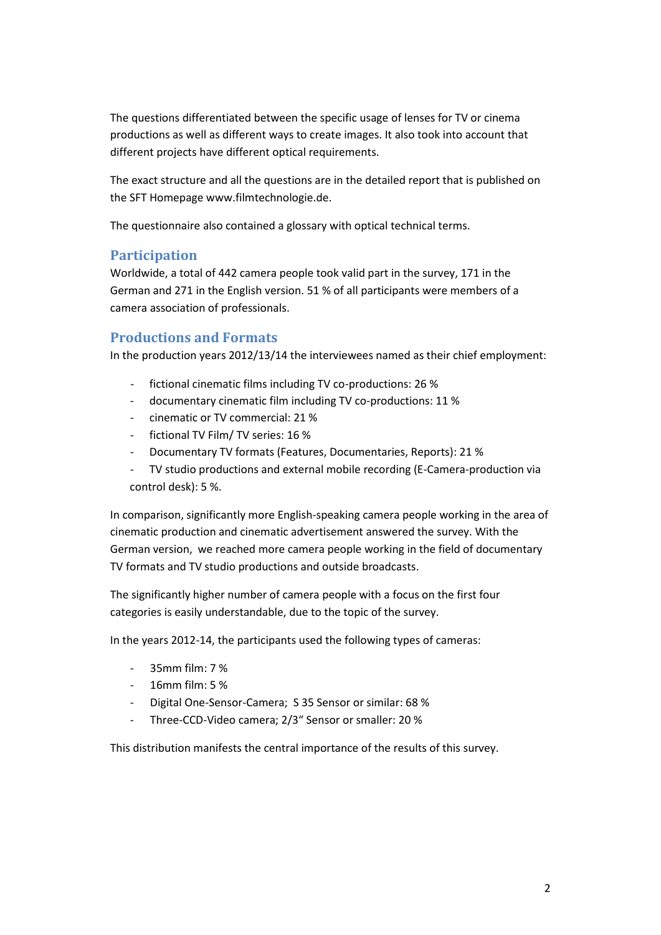The questions differentiated between the specific usage of lenses for TV or cinema productions as well as different ways to create images. It also took into account that different projects have different optical requirements.

The exact structure and all the questions are in the detailed report that is published on the SFT Homepage www.filmtechnologie.de.

The questionnaire also contained a glossary with optical technical terms.

# **Participation**

Worldwide, a total of 442 camera people took valid part in the survey, 171 in the German and 271 in the English version. 51 % of all participants were members of a camera association of professionals.

# **Productions and Formats**

In the production years 2012/13/14 the interviewees named as their chief employment:

- fictional cinematic films including TV co-productions: 26 %
- documentary cinematic film including TV co-productions: 11 %
- cinematic or TV commercial: 21 %
- fictional TV Film/ [TV](http://dict.leo.org/ende/index_de.html) [series:](http://dict.leo.org/ende/index_de.html) 16 %
- Documentary TV formats (Features, Documentaries, Reports): 21 %
- TV studio productions and external mobile recording (E-Camera-production via [control](http://dict.leo.org/ende/index_de.html) [desk\)](http://dict.leo.org/ende/index_de.html): 5 %.

In comparison, significantly more English-speaking camera people working in the area of cinematic production and cinematic advertisement answered the survey. With the German version, we reached more camera people working in the field of documentary TV formats and TV studio productions and outside broadcasts.

The significantly higher number of camera people with a focus on the first four categories is easily understandable, due to the topic of the survey.

In the years 2012-14, the participants used the following types of cameras:

- $35mm$  film: 7%
- 16mm film: 5 %
- Digital One-Sensor-Camera; S 35 Sensor or similar: 68 %
- Three-CCD-Video camera; 2/3" Sensor or smaller: 20 %

This distribution manifests the central importance of the results of this survey.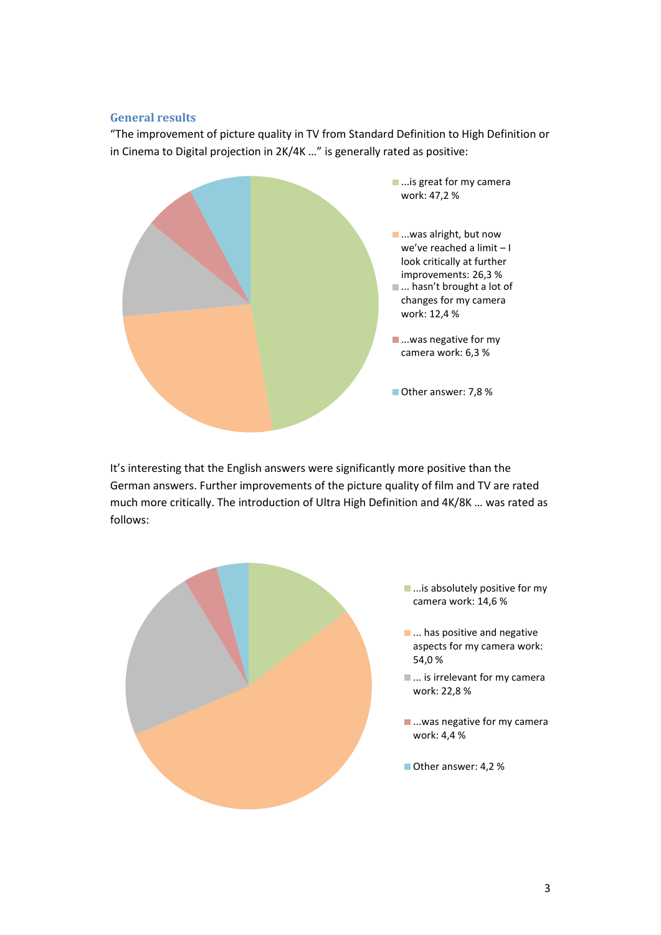### **General results**

"The improvement of picture quality in TV from Standard Definition to High Definition or in Cinema to Digital projection in 2K/4K …" is generally rated as positive:



It's interesting that the English answers were significantly more positive than the German answers. Further improvements of the picture quality of film and TV are rated much more critically. The introduction of Ultra High Definition and 4K/8K … was rated as follows:

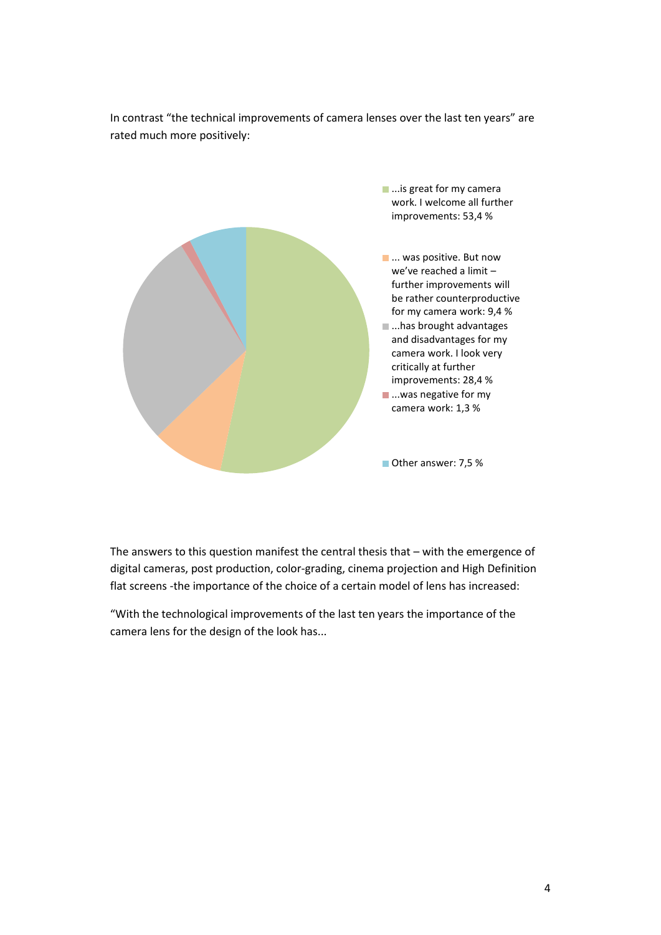



The answers to this question manifest the central thesis that – with the emergence of digital cameras, post production, color-grading, cinema projection and High Definition flat screens -the importance of the choice of a certain model of lens has increased:

"With the technological improvements of the last ten years the importance of the camera lens for the design of the look has...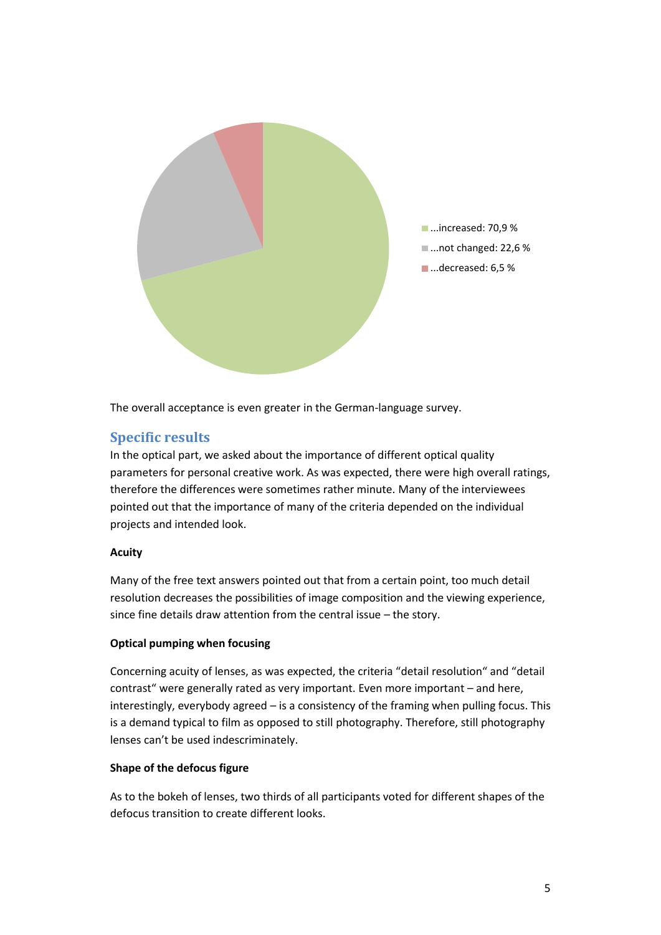

The overall acceptance is even greater in the German-language survey.

# **Specific results**

In the optical part, we asked about the importance of different optical quality parameters for personal creative work. As was expected, there were high overall ratings, therefore the differences were sometimes rather minute. Many of the interviewees pointed out that the importance of many of the criteria depended on the individual projects and intended look.

### **Acuity**

Many of the free text answers pointed out that from a certain point, too much detail resolution decreases the possibilities of image composition and the viewing experience, since fine details draw attention from the central issue – the story.

### **Optical pumping when focusing**

Concerning acuity of lenses, as was expected, the criteria "detail resolution" and "detail contrast" were generally rated as very important. Even more important – and here, interestingly, everybody agreed – is a consistency of the framing when pulling focus. This is a demand typical to film as opposed to still photography. Therefore, still photography lenses can't be used indescriminately.

### **Shape of the defocus figure**

As to the bokeh of lenses, two thirds of all participants voted for different shapes of the defocus transition to create different looks.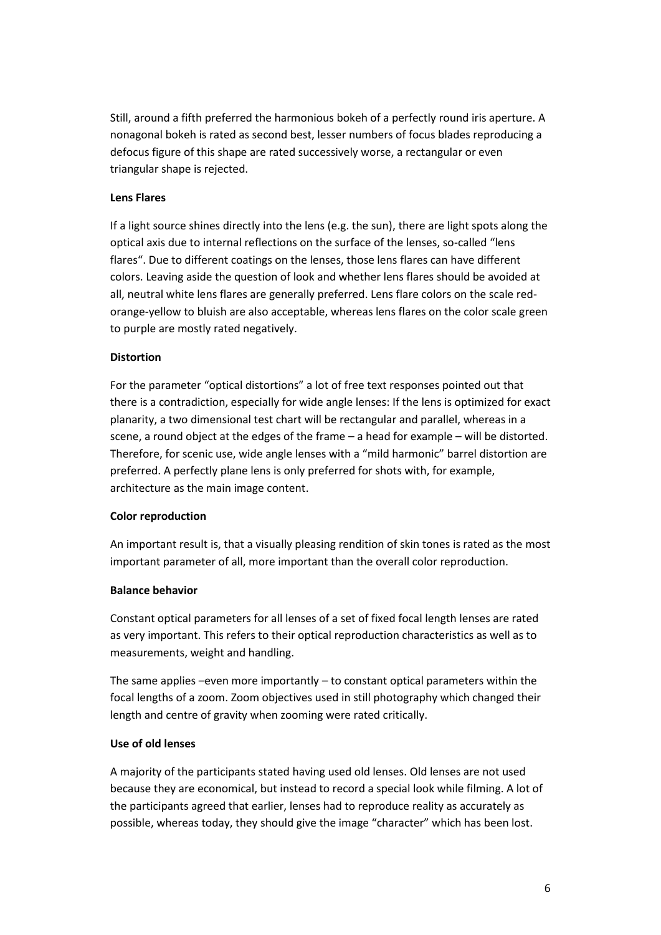Still, around a fifth preferred the harmonious bokeh of a perfectly round iris aperture. A nonagonal bokeh is rated as second best, lesser numbers of focus blades reproducing a defocus figure of this shape are rated successively worse, a rectangular or even triangular shape is rejected.

### **Lens Flares**

If a light source shines directly into the lens (e.g. the sun), there are light spots along the optical axis due to internal reflections on the surface of the lenses, so-called "lens flares". Due to different coatings on the lenses, those lens flares can have different colors. Leaving aside the question of look and whether lens flares should be avoided at all, neutral white lens flares are generally preferred. Lens flare colors on the scale redorange-yellow to bluish are also acceptable, whereas lens flares on the color scale green to purple are mostly rated negatively.

#### **Distortion**

For the parameter "optical distortions" a lot of free text responses pointed out that there is a contradiction, especially for wide angle lenses: If the lens is optimized for exact planarity, a two dimensional test chart will be rectangular and parallel, whereas in a scene, a round object at the edges of the frame – a head for example – will be distorted. Therefore, for scenic use, wide angle lenses with a "mild harmonic" barrel distortion are preferred. A perfectly plane lens is only preferred for shots with, for example, architecture as the main image content.

#### **Color reproduction**

An important result is, that a visually pleasing rendition of skin tones is rated as the most important parameter of all, more important than the overall color reproduction.

#### **Balance behavior**

Constant optical parameters for all lenses of a set of fixed focal length lenses are rated as very important. This refers to their optical reproduction characteristics as well as to measurements, weight and handling.

The same applies –even more importantly – to constant optical parameters within the focal lengths of a zoom. Zoom objectives used in still photography which changed their length and centre of gravity when zooming were rated critically.

#### **Use of old lenses**

A majority of the participants stated having used old lenses. Old lenses are not used because they are economical, but instead to record a special look while filming. A lot of the participants agreed that earlier, lenses had to reproduce reality as accurately as possible, whereas today, they should give the image "character" which has been lost.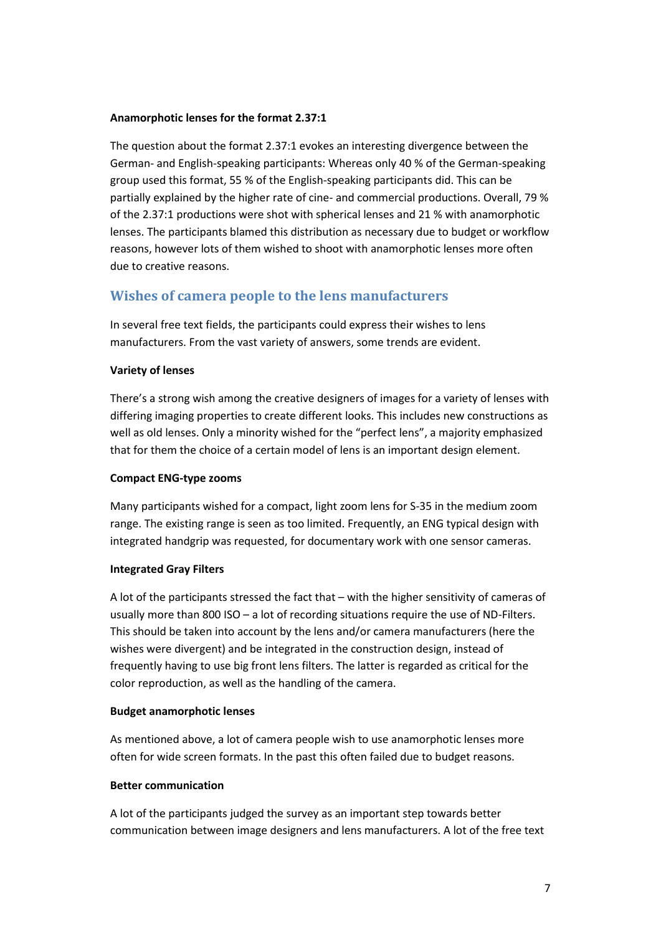#### **Anamorphotic lenses for the format 2.37:1**

The question about the format 2.37:1 evokes an interesting divergence between the German- and English-speaking participants: Whereas only 40 % of the German-speaking group used this format, 55 % of the English-speaking participants did. This can be partially explained by the higher rate of cine- and commercial productions. Overall, 79 % of the 2.37:1 productions were shot with spherical lenses and 21 % with anamorphotic lenses. The participants blamed this distribution as necessary due to budget or workflow reasons, however lots of them wished to shoot with anamorphotic lenses more often due to creative reasons.

# **Wishes of camera people to the lens manufacturers**

In several free text fields, the participants could express their wishes to lens manufacturers. From the vast variety of answers, some trends are evident.

#### **Variety of lenses**

There's a strong wish among the creative designers of images for a variety of lenses with differing imaging properties to create different looks. This includes new constructions as well as old lenses. Only a minority wished for the "perfect lens", a majority emphasized that for them the choice of a certain model of lens is an important design element.

#### **Compact ENG-type zooms**

Many participants wished for a compact, light zoom lens for S-35 in the medium zoom range. The existing range is seen as too limited. Frequently, an ENG typical design with integrated handgrip was requested, for documentary work with one sensor cameras.

#### **Integrated Gray Filters**

A lot of the participants stressed the fact that – with the higher sensitivity of cameras of usually more than 800 ISO – a lot of recording situations require the use of ND-Filters. This should be taken into account by the lens and/or camera manufacturers (here the wishes were divergent) and be integrated in the construction design, instead of frequently having to use big front lens filters. The latter is regarded as critical for the color reproduction, as well as the handling of the camera.

#### **Budget anamorphotic lenses**

As mentioned above, a lot of camera people wish to use anamorphotic lenses more often for wide screen formats. In the past this often failed due to budget reasons.

#### **Better communication**

A lot of the participants judged the survey as an important step towards better communication between image designers and lens manufacturers. A lot of the free text